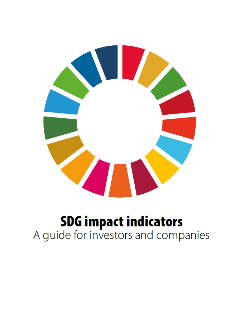

# **SDG impact indicators**<br>A guide for investors and companies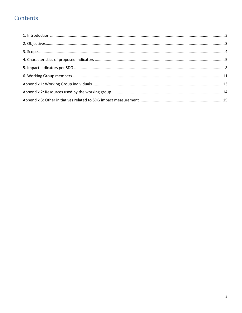# Contents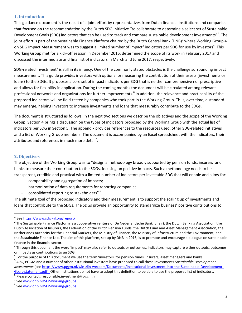#### <span id="page-2-0"></span>**1. Introduction**

This guidance document is the result of a joint effort by representatives from Dutch financial institutions and companies that focused on the recommendation by the Dutch SDG Initiative "to collaborate to determine a select set of Sustainable Development Goals (SDG) indicators that can be used to track and compare sustainable development investments"<sup>1</sup>. The joint effort is part of the Sustainable Finance Platform chaired by the Dutch Central Bank (DNB)<sup>2</sup> where Working Group 4 on SDG Impact Measurement was to suggest a limited number of impact<sup>3</sup> indicators per SDG for use by investors<sup>4</sup>. This Working Group met for a kick-off session in December 2016, determined the scope of its work in February 2017 and discussed the intermediate and final list of indicators in March and June 2017, respectively.

SDG-related investment<sup>5</sup> is still in its infancy. One of the commonly stated obstacles is the challenge surrounding impact measurement. This guide provides investors with options for measuring the contribution of their assets (investments or loans) to the SDGs. It proposes a core set of impact indicators per SDG that is neither comprehensive nor prescriptive and allows for flexibility in application. During the coming months the document will be circulated among relevant professional networks and organizations for further improvements.<sup>6</sup> In addition, the relevance and practicability of the proposed indicators will be field-tested by companies who took part in the Working Group. Thus, over time, a standard may emerge, helping investors to increase investments and loans that measurably contribute to the SDGs.

The document is structured as follows. In the next two sections we describe the objectives and the scope of the Working Group. Section 4 brings a discussion on the types of indicators proposed by the Working Group with the actual list of indicators per SDG in Section 5. The appendix provides references to the resources used, other SDG-related initiatives and a list of Working Group members. The document is accompanied by an Excel spreadsheet with the indicators, their attributes and references in much more detail<sup>7</sup>.

#### <span id="page-2-1"></span>**2. Objectives**

 $\overline{\phantom{a}}$ 

The objective of the Working Group was to "design a methodology broadly supported by pension funds, insurers and banks to measure their contribution to the SDGs, focusing on positive impacts. Such a methodology needs to be transparent, credible and practical with a limited number of indicators per investable SDG that will enable and allow for:

- comparability and aggregation of impacts;
- harmonization of data requirements for reporting companies
- consolidated reporting to stakeholders"<sup>8</sup>.

The ultimate goal of the proposed indicators and their measurement is to support the scaling up of investments and loans that contribute to the SDGs. The SDGs provide an opportunity to standardize business' positive contributions to

<sup>&</sup>lt;sup>1</sup> See <u><https://www.sdgi-nl.org/report/></u>

 $^2$  The Sustainable Finance Platform is a cooperative venture of De Nederlandsche Bank (chair), the Dutch Banking Association, the Dutch Association of Insurers, the Federation of the Dutch Pension Funds, the Dutch Fund and Asset Management Association, the Netherlands Authority for the Financial Markets, the Ministry of Finance, the Ministry of Infrastructure and the Environment, and the Sustainable Finance Lab. The aim of this platform, set up by DNB in 2016, is to promote and encourage a dialogue on sustainable finance in the financial sector.

 $^3$  Through this document the word 'impact' may also refer to outputs or outcomes. Indicators may capture either outputs, outcomes or impacts as contributions to an SDG.

<sup>&</sup>lt;sup>4</sup> For the purpose of this document we use the term 'investors' for pension funds, insurers, asset managers and banks.

<sup>5</sup> APG, PGGM and a number of other institutional investors have proposed to call these investments *Sustainable Development Investments* (se[e https://www.pggm.nl/wie-zijn-we/pers/Documents/Institutional-investment-into-the-Sustainable-Development-](https://www.pggm.nl/wie-zijn-we/pers/Documents/Institutional-investment-into-the-Sustainable-Development-Goals-statement.pdf)[Goals-statement.pdf\)](https://www.pggm.nl/wie-zijn-we/pers/Documents/Institutional-investment-into-the-Sustainable-Development-Goals-statement.pdf). Other institutions do not have to adopt this definition to be able to use the proposed list of indicators. 6 Please contact: responsible.investment@pggm.nl

<sup>7</sup>

See [www.dnb.nl/SFP-working-groups](http://www.dnb.nl/SFP-working-groups)

<sup>&</sup>lt;sup>8</sup> See <u>[www.dnb.nl/SFP-working-groups](http://www.dnb.nl/SFP-working-groups)</u>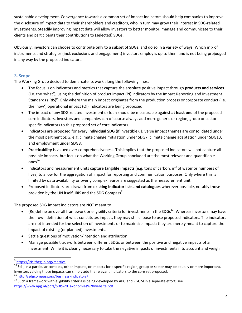sustainable development. Convergence towards a common set of impact indicators should help companies to improve the disclosure of impact data to their shareholders and creditors, who in turn may grow their interest in SDG-related investments. Steadily improving impact data will allow investors to better monitor, manage and communicate to their clients and participants their contributions to (selected) SDGs.

Obviously, investors can choose to contribute only to a subset of SDGs, and do so in a variety of ways. Which mix of instruments and strategies (incl. exclusions and engagement) investors employ is up to them and is not being prejudged in any way by the proposed indicators.

### <span id="page-3-0"></span>**3. Scope**

The Working Group decided to demarcate its work along the following lines:

- The focus is on indicators and metrics that capture the absolute positive impact through **products and services** (i.e. the 'what'), using the definition of product impact (PI) indicators by the Impact Reporting and Investment Standards (IRIS)<sup>9</sup>. Only where the main impact originates from the production process or corporate conduct (i.e. the 'how') operational impact (OI) indicators are being proposed.
- The impact of any SDG-related investment or loan should be measurable against **at least one** of the proposed core indicators. Investors and companies can of course always add more generic or region, group or sectorspecific indicators to this proposed set of core indicators.
- Indicators are proposed for every **individual SDG** (if investible). Diverse impact themes are consolidated under the most pertinent SDG, e.g. climate change mitigation under SDG7, climate change adaptation under SDG13, and employment under SDG8.
- **Practicability** is valued over comprehensiveness. This implies that the proposed indicators will not capture all possible impacts, but focus on what the Working Group concluded are the most relevant and quantifiable ones $^{10}$ .
- Indicators and measurement units capture **tangible impacts** (e.g. tons of carbon, m<sup>3</sup> of water or numbers of lives) to allow for the aggregation of impact for reporting and communication purposes. Only where this is limited by data availability or overly complex, euros are suggested as the measurement unit.
- Proposed indicators are drawn from **existing indicator lists and catalogues** wherever possible, notably those provided by the UN itself, IRIS and the SDG Compass<sup>11</sup>.

The proposed SDG impact indicators are NOT meant to:

- (Re)define an overall framework or eligibility criteria for investments in the SDGs<sup>12</sup>. Whereas investors may have their own definition of what constitutes impact, they may still choose to use proposed indicators. The indicators are not intended for the selection of investments or to maximize impact; they are merely meant to capture the impact of existing (or planned) investments.
- Settle questions of motivation/intention and attribution.
- Manage possible trade-offs between different SDGs or between the positive and negative impacts of an investment. While it is clearly necessary to take the negative impacts of investments into account and weigh

<sup>&</sup>lt;sup>9</sup><br><https://iris.thegiin.org/metrics>

<sup>&</sup>lt;sup>10</sup> Still, in a particular contexts, other impacts, or impacts for a specific region, group or sector may be equally or more important. Investors valuing those impacts can simply add the relevant indicators to the core set proposed.

<sup>&</sup>lt;sup>11</sup> <http://sdgcompass.org/business-indicators/>

<sup>&</sup>lt;sup>12</sup> Such a framework with eligibility criteria is being developed by APG and PGGM in a separate effort, see <https://www.apg.nl/pdfs/SDI%20Taxonomies%20website.pdf>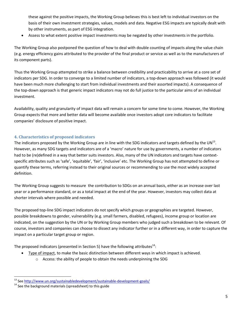these against the positive impacts, the Working Group believes this is best left to individual investors on the basis of their own investment strategies, values, models and data. Negative ESG impacts are typically dealt with by other instruments, as part of ESG integration.

Assess to what extent positive impact investments may be negated by other investments in the portfolio.

The Working Group also postponed the question of how to deal with double counting of impacts along the value chain (e.g. energy efficiency gains attributed to the provider of the final product or service as well as to the manufacturers of its component parts).

Thus the Working Group attempted to strike a balance between credibility and practicability to arrive at a core set of indicators per SDG. In order to converge to a limited number of indicators, a top-down approach was followed (it would have been much more challenging to start from individual investments and their assorted impacts). A consequence of the top-down approach is that generic impact indicators may not do full justice to the particular aims of an individual investment.

Availability, quality and granularity of impact data will remain a concern for some time to come. However, the Working Group expects that more and better data will become available once investors adopt core indicators to facilitate companies' disclosure of positive impact.

#### <span id="page-4-0"></span>**4. Characteristics of proposed indicators**

The indicators proposed by the Working Group are in line with the SDG indicators and targets defined by the UN $^{13}$ . However, as many SDG targets and indicators are of a 'macro' nature for use by governments, a number of indicators had to be (re)defined in a way that better suits investors. Also, many of the UN indicators and targets have contextspecific attributes such as 'safe', 'equitable', 'fair', 'inclusive' etc. The Working Group has not attempted to define or quantify these terms, referring instead to their original sources or recommending to use the most widely accepted definition.

The Working Group suggests to measure the contribution to SDGs on an annual basis, either as an increase over last year or a performance standard, or as a total impact at the end of the year. However, investors may collect data at shorter intervals where possible and needed.

The proposed top-line SDG impact indicators do not specify which groups or geographies are targeted. However, possible breakdowns to gender, vulnerability (e.g. small farmers, disabled, refugees), income group or location are indicated, on the suggestion by the UN or by Working Group members who judged such a breakdown to be relevant. Of course, investors and companies can choose to dissect any indicator further or in a different way, in order to capture the impact on a particular target group or region.

The proposed indicators (presented in Section 5) have the following attributes<sup>14</sup>:

- Type of impact, to make the basic distinction between different ways in which impact is achieved.
	- o Access: the ability of people to obtain the needs underpinning the SDG

 $\overline{a}$ <sup>13</sup> Se[e http://www.un.org/sustainabledevelopment/sustainable-development-goals/](http://www.un.org/sustainabledevelopment/sustainable-development-goals/)

 $14$  See the background materials (spreadsheet) to this guide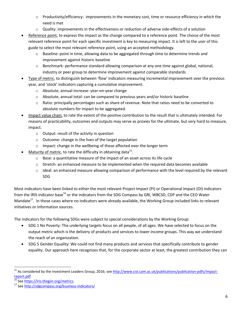- $\circ$  Productivity/efficiency: improvements in the monetary cost, time or resource efficiency in which the need is met
- $\circ$  Quality: improvements in the effectiveness or reduction of adverse side-effects of a solution
- Reference point, to express the impact as the change compared to a reference point. The choice of the most relevant reference point for each specific investment is key to measuring impact. It is left to the user of this guide to select the most relevant reference point, using an accepted methodology.
	- o Baseline: point in time, allowing data to be aggregated through time to determine trends and improvement against historic baseline
	- $\circ$  Benchmark: performance standard allowing comparison at any one time against global, national, industry or peer group to determine improvement against comparable standards
- Type of metric, to distinguish between 'flow' indicators measuring incremental improvement over the previous year, and 'stock' indicators capturing a cumulative improvement.
	- o Absolute, annual increase: year-on-year change
	- $\circ$  Absolute, annual total: can be compared to previous years and/or historic baseline
	- $\circ$  Ratio: principally percentages such as share of revenue. Note that ratios need to be converted to absolute numbers for impact to be aggregated.
- Impact value chain, to rate the extent of the positive contribution to the result that is ultimately intended. For reasons of practicability, outcomes and outputs may serve as proxies for the ultimate, but very hard to measure, impact.
	- o Output: result of the activity in question
	- o Outcome: change in the lives of the target population
	- o Impact: change in the wellbeing of those affected over the longer term
- $\bullet$  Maturity of metric, to rate the difficulty in obtaining data<sup>15</sup>.
	- o Base: a quantitative measure of the impact of an asset across its life cycle
	- $\circ$  Stretch: an enhanced measure to be implemented when the required data becomes available
	- $\circ$  Ideal: an enhanced measure allowing comparison of performance with the level required by the relevant SDG

Most indicators have been linked to either the most relevant Project Impact (PI) or Operational Impact (OI) indicators from the IRIS indicator base<sup>16</sup> or the indicators from the SDG Compass by GRI, WBCSD, CDP and the CEO Water Mandate<sup>17</sup>. In those cases where no indicators were already available, the Working Group included links to relevant initiatives or information sources.

The indicators for the following SDGs were subject to special considerations by the Working Group:

- SDG 1 No Poverty: The underlying targets focus on all people, of all ages. We have selected to focus on the output metric which is the delivery of products and services to lower income groups. This way we understand the reach of an organization.
- SDG 5 Gender Equality: We could not find many products and services that specifically contribute to gender equality. Our approach here recognizes that, for the corporate sector at least, the greatest contribution they can

 $\overline{\phantom{a}}$ 

<sup>&</sup>lt;sup>15</sup> As considered by the Investment Leaders Group, 2016; se[e http://www.cisl.cam.ac.uk/publications/publication-pdfs/impact](http://www.cisl.cam.ac.uk/publications/publication-pdfs/impact-report.pdf)[report.pdf](http://www.cisl.cam.ac.uk/publications/publication-pdfs/impact-report.pdf)

Se[e https://iris.thegiin.org/metrics.](https://iris.thegiin.org/metrics)

<sup>17</sup> Se[e http://sdgcompass.org/business-indicators/](http://sdgcompass.org/business-indicators/)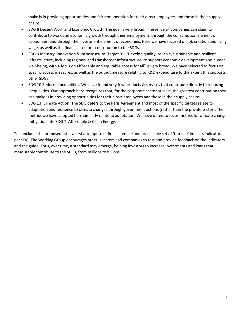make is in providing opportunities and fair remuneration for their direct employees and those in their supply chains.

- SDG 8 Decent Work and Economic Growth: The goal is very broad. In essence all companies can claim to contribute to work and economic growth through their employment, through the consumption element of economies, and through the investment element of economies. Here we have focused on job creation and living wage, as well as the financial sector's contribution to the SDGs.
- SDG 9 Industry, Innovation & Infrastructure: Target 9.1 "Develop quality, reliable, sustainable and resilient infrastructure, including regional and transborder infrastructure, to support economic development and human well-being, with a focus on affordable and equitable access for all" is very broad. We have selected to focus on specific access measures, as well as the output measure relating to R&D expenditure to the extent this supports other SDGs.
- SDG 10 Reduced Inequalities: We have found very few products & services that contribute directly to reducing inequalities. Our approach here recognizes that, for the corporate sector at least, the greatest contribution they can make is in providing opportunities for their direct employees and those in their supply chains.
- SDG 13: Climate Action: The SDG defers to the Paris Agreement and most of the specific targets relate to adaptation and resilience to climate changes through government actions (rather than the private sector). The metrics we have adopted here similarly relate to adaptation. We have opted to focus metrics for climate change mitigation into SDG 7: Affordable & Clean Energy.

To conclude, the proposed list is a first attempt to define a credible and practicable set of 'top-line' impacts indicators per SDG. The Working Group encourages other investors and companies to test and provide feedback on the indicators and the guide. Thus, over time, a standard may emerge, helping investors to increase investments and loans that measurably contribute to the SDGs, from millions to billions.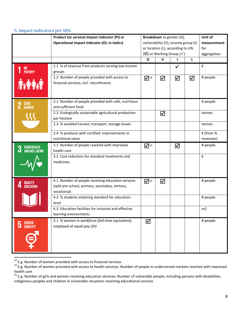#### <span id="page-7-0"></span>**5. Impact indicators per SDG**

|                                    | Product (or service) Impact indicator (PI) or<br><b>Operational Impact indicator (OI, in italics)</b>                | Breakdown to gender (G),<br>vulnerability (V), income group (I)<br>or location (L), according to UN<br>$(\boxtimes)$ or Working Group ( $\checkmark$ ) |   |   | Unit of<br>measurement<br>for<br>aggregation |                        |
|------------------------------------|----------------------------------------------------------------------------------------------------------------------|--------------------------------------------------------------------------------------------------------------------------------------------------------|---|---|----------------------------------------------|------------------------|
|                                    |                                                                                                                      | G                                                                                                                                                      | v |   | L                                            |                        |
| NO<br>Poverty                      | 1.1 % of revenue from products serving low income<br>groups                                                          |                                                                                                                                                        |   |   |                                              | €                      |
|                                    | 1.2 Number of people provided with access to<br>financial services, incl. microfinance                               | $\overline{\mathbf{1}}^{18}$                                                                                                                           | ☑ | ☑ | ☑                                            | # people               |
| ZERO<br>HUNGER                     | 2.1 Number of people provided with safe, nutritious<br>and sufficient food                                           |                                                                                                                                                        |   |   |                                              | # people               |
|                                    | 2.2 Ecologically sustainable agricultural production<br>per hectare                                                  |                                                                                                                                                        | ☑ |   |                                              | tonnes                 |
|                                    | 2.3 % avoided harvest, transport, storage losses                                                                     |                                                                                                                                                        |   |   |                                              | tonnes                 |
|                                    | 2.4 % products with certified improvements in<br>nutritional value                                                   |                                                                                                                                                        |   |   |                                              | € (from %<br>revenues) |
| GOOD HEALTH<br>And Well-Being<br>3 | 3.1 Number of people reached with improved<br>health care                                                            | $\overline{\mathbf{M}}^{19}$                                                                                                                           |   | ☑ |                                              | # people               |
|                                    | 3.2 Cost reduction for standard treatments and<br>medicines                                                          |                                                                                                                                                        |   |   |                                              | €                      |
| <b>QUALITY</b><br><b>EDUCATION</b> | 4.1 Number of people receiving education services<br>(split pre-school, primary, secondary, tertiary,<br>vocational) | $\mathbf{V}^{20}$                                                                                                                                      | ☑ |   |                                              | # people               |
|                                    | 4.2 % students attaining standard for education<br>level                                                             |                                                                                                                                                        |   |   |                                              | # people               |
|                                    | 4.3 Education facilities for inclusive and effective<br>learning environments                                        |                                                                                                                                                        |   |   |                                              | m2                     |
| <b>GENDER<br/>EQUALITY</b><br>5    | 5.1 % women in workforce (full-time equivalent),<br>employed at equal pay (OI)                                       | ☑                                                                                                                                                      |   |   |                                              | # people               |

 $^{18}$  E.g. Number of women provided with access to financial services

 $\overline{a}$ 

<sup>&</sup>lt;sup>19</sup> E.g. Number of women provided with access to health services; Number of people in underserved markets reached with improved health care

<sup>&</sup>lt;sup>20</sup> E.g. Number of girls and women receiving education services; Number of vulnerable people, including persons with disabilities, indigenous peoples and children in vulnerable situations receiving educational services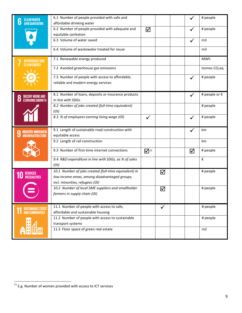| <b>CLEAN WATER</b>          | 6.1 Number of people provided with safe and                                                                                               |                                       |                      |              | # people                  |
|-----------------------------|-------------------------------------------------------------------------------------------------------------------------------------------|---------------------------------------|----------------------|--------------|---------------------------|
| AND SANITATION              | affordable drinking water<br>6.2 Number of people provided with adequate and<br>equitable sanitation                                      | ☑                                     |                      |              | # people                  |
|                             | 6.3 Volume of water saved                                                                                                                 |                                       |                      |              | m <sub>3</sub>            |
|                             | 6.4 Volume of wastewater treated for reuse                                                                                                |                                       |                      |              | m <sub>3</sub>            |
| \FFORDARI F AND             | 7.1 Renewable energy produced                                                                                                             |                                       |                      |              | MWh                       |
| CLEAN ENERGY                | 7.2 Avoided greenhouse gas emissions                                                                                                      |                                       |                      |              | tonnes CO <sub>2</sub> eq |
|                             | 7.3 Number of people with access to affordable,<br>reliable and modern energy services                                                    |                                       |                      |              | # people                  |
| <b>ECONOMIC GROWTH</b><br>u | 8.1 Number of loans, deposits or insurance products<br>in line with SDGs                                                                  |                                       |                      | $\checkmark$ | # people or €             |
|                             | 8.2 Number of jobs created (full-time equivalent)<br>(OI)                                                                                 |                                       |                      |              | # people                  |
|                             | 8.3 % of employees earning living wage (OI)                                                                                               | ✓                                     |                      | $\checkmark$ | # people                  |
|                             |                                                                                                                                           |                                       |                      |              | km                        |
| N<br>AND INFRASTRUCTURE     | 9.1 Length of sustainable road construction with<br>equitable access                                                                      |                                       |                      |              |                           |
|                             | 9.2 Length of rail construction                                                                                                           |                                       |                      |              | km                        |
|                             | 9.3 Number of first-time internet connections                                                                                             | $\overline{\mathbf{V}}$ <sup>21</sup> |                      | ☑            | # people                  |
|                             | 9.4 R&D expenditure in line with SDGs, as % of sales<br>(OI)                                                                              |                                       |                      |              | €                         |
| REDUCED                     | 10.1 Number of jobs created (full-time equivalent) in<br>low-income areas, among disadvantaged groups,<br>incl. minorities, refugees (OI) |                                       | ☑                    |              | # people                  |
|                             | 10.2 Number of local SME suppliers and smallholder<br>farmers in supply chain (OI)                                                        |                                       | $\blacktriangledown$ |              | # people                  |
| <b>SUSTAINABLE CITIES</b>   | 11.1 Number of people with access to safe,                                                                                                |                                       | $\checkmark$         |              | # people                  |
| <b>AND COMMUNITIES</b>      | affordable and sustainable housing<br>11.2 Number of people with access to sustainable<br>transport systems                               |                                       |                      |              | # people                  |

 $\overline{\phantom{a}}$ 

 $21$  E.g. Number of women provided with access to ICT services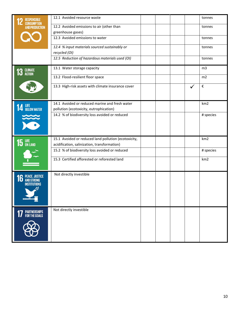| <b>RESPONSIBLE</b><br><b>CONSUMPTION</b>                  | 12.1 Avoided resource waste                                                                          |  |   | tonnes                  |
|-----------------------------------------------------------|------------------------------------------------------------------------------------------------------|--|---|-------------------------|
| <b>AND PRODUCTION</b>                                     | 12.2 Avoided emissions to air (other than<br>greenhouse gases)                                       |  |   | tonnes                  |
|                                                           | 12.3 Avoided emissions to water                                                                      |  |   | tonnes                  |
|                                                           | 12.4 % input materials sourced sustainably or<br>recycled (OI)                                       |  |   | tonnes                  |
|                                                           | 12.5 Reduction of hazardous materials used (OI)                                                      |  |   | tonnes                  |
| <b>CLIMATE</b><br>ACTION<br>IU)                           | 13.1 Water storage capacity                                                                          |  |   | m <sub>3</sub>          |
|                                                           | 13.2 Flood-resilient floor space                                                                     |  |   | m2                      |
|                                                           | 13.3 High-risk assets with climate insurance cover                                                   |  | ✓ | $\boldsymbol{\epsilon}$ |
| <b>14</b> LIFE BELOW WATER                                | 14.1 Avoided or reduced marine and fresh water                                                       |  |   | km <sub>2</sub>         |
|                                                           | pollution (ecotoxicity, eutrophication)<br>14.2 % of biodiversity loss avoided or reduced            |  |   | # species               |
|                                                           |                                                                                                      |  |   |                         |
| $15$ LIFE                                                 | 15.1 Avoided or reduced land pollution (ecotoxicity,<br>acidification, salinization, transformation) |  |   | km <sub>2</sub>         |
|                                                           | 15.2 % of biodiversity loss avoided or reduced                                                       |  |   | # species               |
|                                                           | 15.3 Certified afforested or reforested land                                                         |  |   | km <sub>2</sub>         |
| 16 PEACE, JUSTICE<br><b>INSTITUTIONS</b><br>$\frac{1}{2}$ | Not directly investible                                                                              |  |   |                         |
| <b>7</b> PARTNERSHIPS<br>FOR THE GOALS                    | Not directly investible                                                                              |  |   |                         |
|                                                           |                                                                                                      |  |   |                         |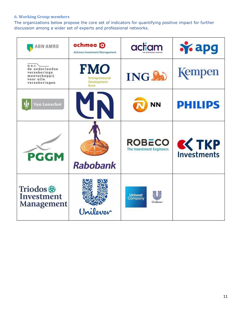## <span id="page-10-0"></span>**6. Working Group members**

The organizations below propose the core set of indicators for quantifying positive impact for further discussion among a wider set of experts and professional networks.

| ABN∙AMRO                                                                                       | achmea <b>O</b><br><b>Achmea Investment Management</b> | actiam                                           | <b>Y</b> apg   |
|------------------------------------------------------------------------------------------------|--------------------------------------------------------|--------------------------------------------------|----------------|
| $\alpha$ .s.r.<br>de nederlandse<br>verzekerings<br>maatschappij<br>voor alle<br>verzekeringen | FMO<br>Entrepreneurial<br>Development<br>Bank          | <b>INGSO</b>                                     | Kempen         |
| Van Lanschot                                                                                   |                                                        | ΝN                                               | <b>PHILIPS</b> |
| <b>PGGM</b>                                                                                    | <b>Rabobank</b>                                        | <b>ROBECO</b><br><b>The Investment Engineers</b> | $K$ TKP        |
| Triodos <sup>®</sup><br>Investment<br>Management                                               | Unilever                                               | <b>Univest</b><br>Company<br>Unilever            |                |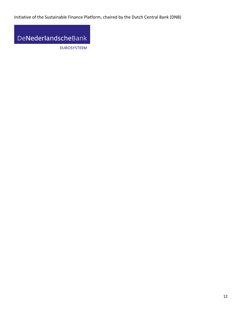Initiative of the Sustainable Finance Platform, chaired by the Dutch Central Bank (DNB)

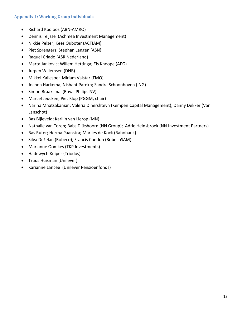#### <span id="page-12-0"></span>**Appendix 1: Working Group individuals**

- Richard Kooloos (ABN-AMRO)
- Dennis Teijsse (Achmea Investment Management)
- Nikkie Pelzer; Kees Ouboter (ACTIAM)
- Piet Sprengers; Stephan Langen (ASN)
- Raquel Criado (ASR Nederland)
- Marta Jankovic; Willem Hettinga; Els Knoope (APG)
- Jurgen Willemsen (DNB)
- Mikkel Kallesoe; Miriam Valstar (FMO)
- Jochen Harkema; Nishant Parekh; Sandra Schoonhoven (ING)
- Simon Braaksma (Royal Philips NV)
- Marcel Jeucken; Piet Klop (PGGM, chair)
- Narina Mnatsakanian; Valeria Dinershteyn (Kempen Capital Management); Danny Dekker (Van Lanschot)
- Bas Bijleveld; Karlijn van Lierop (MN)
- Nathalie van Toren; Babs Dijkshoorn (NN Group); Adrie Heinsbroek (NN Investment Partners)
- Bas Ruter; Herma Paanstra; Marlies de Kock (Rabobank)
- Silva Deželan (Robeco); Francis Condon (RobecoSAM)
- Marianne Oomkes (TKP Investments)
- Hadewych Kuiper (Triodos)
- **•** Truus Huisman (Unilever)
- Karianne Lancee (Unilever Pensioenfonds)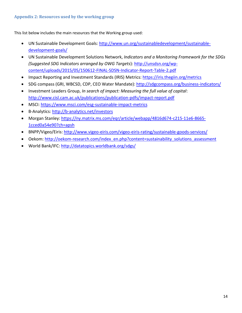#### <span id="page-13-0"></span>**Appendix 2: Resources used by the working group**

This list below includes the main resources that the Working group used:

- UN Sustainable Development Goals[: http://www.un.org/sustainabledevelopment/sustainable](http://www.un.org/sustainabledevelopment/sustainable-development-goals/)[development-goals/](http://www.un.org/sustainabledevelopment/sustainable-development-goals/)
- UN Sustainable Development Solutions Network, *Indicators and a Monitoring Framework for the SDGs (Suggested SDG Indicators arranged by OWG Targets*): [http://unsdsn.org/wp](http://unsdsn.org/wp-content/uploads/2015/05/150612-FINAL-SDSN-Indicator-Report-Table-2.pdf)[content/uploads/2015/05/150612-FINAL-SDSN-Indicator-Report-Table-2.pdf](http://unsdsn.org/wp-content/uploads/2015/05/150612-FINAL-SDSN-Indicator-Report-Table-2.pdf)
- Impact Reporting and Investment Standards (IRIS) Metrics:<https://iris.thegiin.org/metrics>
- SDG compass (GRI, WBCSD, CDP, CEO Water Mandate):<http://sdgcompass.org/business-indicators/>
- Investment Leaders Group, *In search of impact: Measuring the full value of capital*: <http://www.cisl.cam.ac.uk/publications/publication-pdfs/impact-report.pdf>
- MSCI:<https://www.msci.com/esg-sustainable-impact-metrics>
- B-Analytics:<http://b-analytics.net/investors>
- Morgan Stanley: [https://ny.matrix.ms.com/eqr/article/webapp/4816d674-c215-11e6-8665-](https://ny.matrix.ms.com/eqr/article/webapp/4816d674-c215-11e6-8665-1cced0a54e90?ch=apsh) [1cced0a54e90?ch=apsh](https://ny.matrix.ms.com/eqr/article/webapp/4816d674-c215-11e6-8665-1cced0a54e90?ch=apsh)
- BNPP/Vigeo/Eiris:<http://www.vigeo-eiris.com/vigeo-eiris-rating/sustainable-goods-services/>
- Oekom: [http://oekom-research.com/index\\_en.php?content=sustainability\\_solutions\\_assessment](http://oekom-research.com/index_en.php?content=sustainability_solutions_assessment)
- World Bank/IFC:<http://datatopics.worldbank.org/sdgs/>